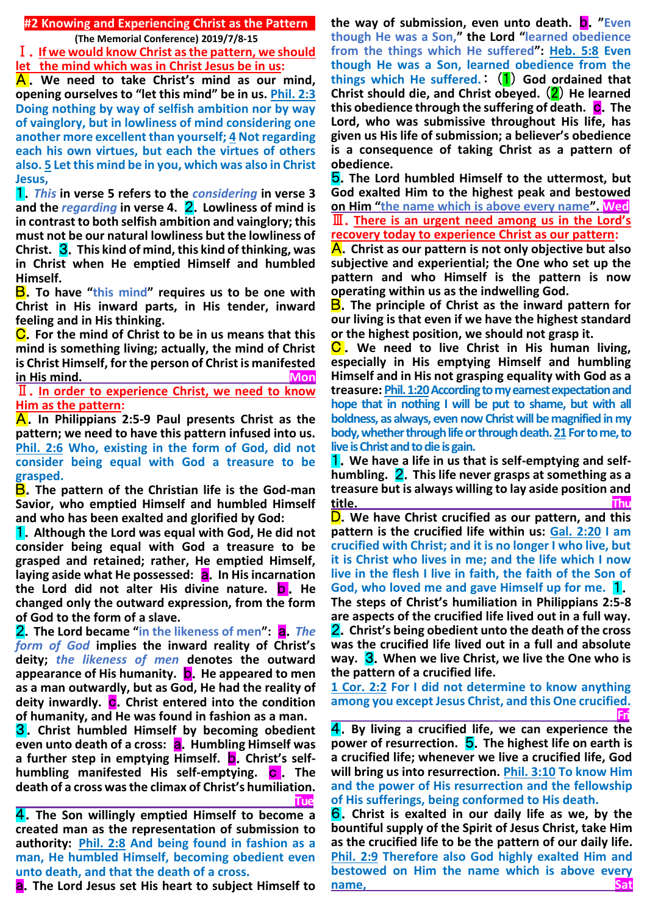**#2 Knowing and Experiencing Christ as the Pattern**

**(The Memorial Conference) 2019/7/8-15**

Ⅰ.**If we would know Christ as the pattern, we should let the mind which was in Christ Jesus be in us:** 

A . **We need to take Christ's mind as our mind, opening ourselves to "let this mind" be in us. Phil. 2:3 Doing nothing by way of selfish ambition nor by way of vainglory, but in lowliness of mind considering one another more excellent than yourself; 4 Not regarding each his own virtues, but each the virtues of others also. 5 Let this mind be in you, which was also in Christ Jesus,**

1.*This* **in verse 5 refers to the** *considering* **in verse 3 and the** *regarding* **in verse 4.** 2.**Lowliness of mind is in contrast to both selfish ambition and vainglory; this must not be our natural lowliness but the lowliness of Christ.** 3.**This kind of mind, this kind of thinking, was in Christ when He emptied Himself and humbled Himself.**

B.**To have "this mind" requires us to be one with Christ in His inward parts, in His tender, inward feeling and in His thinking.**

C.**For the mind of Christ to be in us means that this mind is something living; actually, the mind of Christ is Christ Himself, for the person of Christ is manifested**  in His mind.

Ⅱ.**In order to experience Christ, we need to know Him as the pattern:**

A.**In Philippians 2:5-9 Paul presents Christ as the pattern; we need to have this pattern infused into us. Phil. 2:6 Who, existing in the form of God, did not consider being equal with God a treasure to be grasped.**

B.**The pattern of the Christian life is the God-man Savior, who emptied Himself and humbled Himself and who has been exalted and glorified by God:**

1.**Although the Lord was equal with God, He did not consider being equal with God a treasure to be grasped and retained; rather, He emptied Himself,**  laying aside what He possessed: **a.** In His incarnation **the Lord did not alter His divine nature.** b . **He changed only the outward expression, from the form of God to the form of a slave.**

2.**The Lord became "in the likeness of men":** a.*The form of God* **implies the inward reality of Christ's deity;** *the likeness of men* **denotes the outward appearance of His humanity.** b.**He appeared to men as a man outwardly, but as God, He had the reality of**  deity inwardly. C. Christ entered into the condition **of humanity, and He was found in fashion as a man.**

3.**Christ humbled Himself by becoming obedient even unto death of a cross: <b>a.** Humbling Himself was **a further step in emptying Himself. <b>D.** Christ's self**humbling manifested His self-emptying.** c . **The death of a cross was the climax of Christ's humiliation. Tue**

4.**The Son willingly emptied Himself to become a created man as the representation of submission to authority: Phil. 2:8 And being found in fashion as a man, He humbled Himself, becoming obedient even unto death, and that the death of a cross.**

a.**The Lord Jesus set His heart to subject Himself to** 

**the way of submission, even unto death. <b>D.** "Even **though He was a Son," the Lord "learned obedience from the things which He suffered": Heb. 5:8 Even though He was a Son, learned obedience from the things which He suffered.**: (1) **God ordained that Christ should die, and Christ obeyed.** (2) **He learned this obedience through the suffering of death.** c.**The Lord, who was submissive throughout His life, has given us His life of submission; a believer's obedience is a consequence of taking Christ as a pattern of obedience.**

5.**The Lord humbled Himself to the uttermost, but God exalted Him to the highest peak and bestowed on Him "the name which is above every name". Wed** Ⅲ.**There is an urgent need among us in the Lord's recovery today to experience Christ as our pattern:**

A.**Christ as our pattern is not only objective but also subjective and experiential; the One who set up the pattern and who Himself is the pattern is now operating within us as the indwelling God.**

B.**The principle of Christ as the inward pattern for our living is that even if we have the highest standard or the highest position, we should not grasp it.**

C . **We need to live Christ in His human living, especially in His emptying Himself and humbling Himself and in His not grasping equality with God as a treasure: Phil. 1:20According to my earnest expectation and hope that in nothing I will be put to shame, but with all boldness, as always, even now Christ will be magnified in my body, whether through life or through death. 21For to me, to live is Christ and to die is gain.**

**1.** We have a life in us that is self-emptying and self**humbling.** 2.**This life never grasps at something as a treasure but is always willing to lay aside position and title. Thu**

D.**We have Christ crucified as our pattern, and this pattern is the crucified life within us: Gal. 2:20 I am crucified with Christ; and it is no longer I who live, but it is Christ who lives in me; and the life which I now live in the flesh I live in faith, the faith of the Son of God, who loved me and gave Himself up for me.** 1. **The steps of Christ's humiliation in Philippians 2:5-8 are aspects of the crucified life lived out in a full way.** 2.**Christ's being obedient unto the death of the cross was the crucified life lived out in a full and absolute way. 3.** When we live Christ, we live the One who is **the pattern of a crucified life.**

**1 Cor. 2:2 For I did not determine to know anything among you except Jesus Christ, and this One crucified. Fri**

4.**By living a crucified life, we can experience the power of resurrection.** 5.**The highest life on earth is a crucified life; whenever we live a crucified life, God will bring us into resurrection. Phil. 3:10 To know Him and the power of His resurrection and the fellowship of His sufferings, being conformed to His death.**

6.**Christ is exalted in our daily life as we, by the bountiful supply of the Spirit of Jesus Christ, take Him as the crucified life to be the pattern of our daily life. Phil. 2:9 Therefore also God highly exalted Him and bestowed on Him the name which is above every name, Satisfacturers** and Satisfacturers and Satisfacturers and Satisfacturers and Satisfacturers and Satisfacturers and Satisfacturers and Satisfacturers and Satisfacturers and Satisfacturers and Satisfacturers and Satis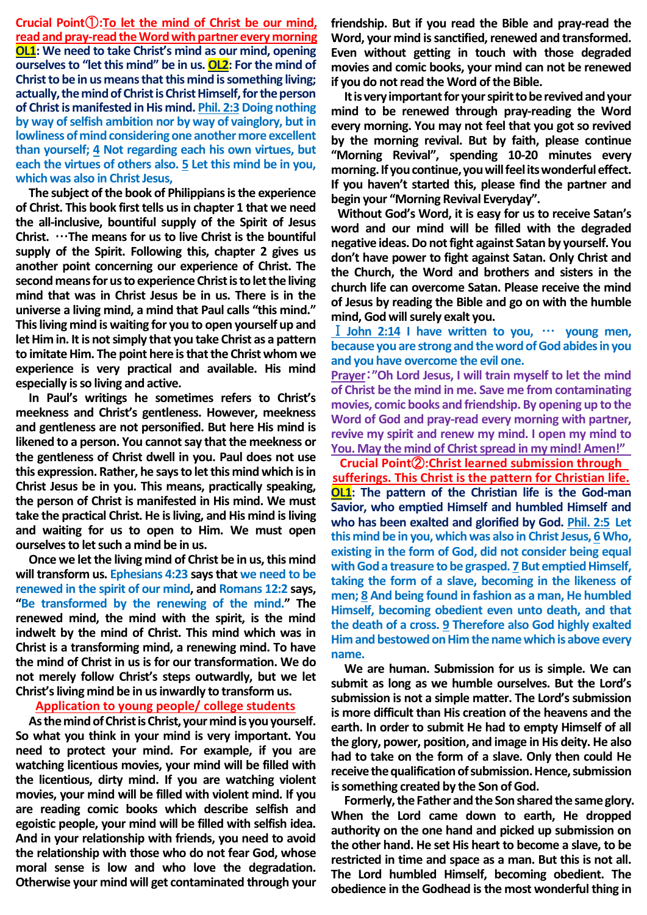**Crucial Point**①**:To let the mind of Christ be our mind, read and pray-read the Word with partner every morning OL1: We need to take Christ's mind as our mind, opening ourselves to "let this mind" be in us. OL2: For the mind of Christ to be in us means that this mind is something living; actually, the mind of Christ is Christ Himself, for the person of Christ is manifested in His mind. Phil. 2:3Doing nothing by way of selfish ambition nor by way of vainglory, but in lowliness of mind considering one another more excellent than yourself; 4 Not regarding each his own virtues, but each the virtues of others also. 5 Let this mind be in you, which was also in Christ Jesus,**

**The subject of the book of Philippians is the experience of Christ. This book first tells us in chapter 1 that we need the all-inclusive, bountiful supply of the Spirit of Jesus Christ.** …**The means for us to live Christ is the bountiful supply of the Spirit. Following this, chapter 2 gives us another point concerning our experience of Christ. The second means for us to experience Christ is to let the living mind that was in Christ Jesus be in us. There is in the universe a living mind, a mind that Paul calls "this mind." This living mind is waiting for you to open yourself up and let Him in. It is not simply that you take Christ as a pattern to imitate Him. The point here is that the Christ whom we experience is very practical and available. His mind especially is so living and active.**

**In Paul's writings he sometimes refers to Christ's meekness and Christ's gentleness. However, meekness and gentleness are not personified. But here His mind is likened to a person. You cannot say that the meekness or the gentleness of Christ dwell in you. Paul does not use this expression. Rather, he says to let this mind which is in Christ Jesus be in you. This means, practically speaking, the person of Christ is manifested in His mind. We must take the practical Christ. He is living, and His mind is living and waiting for us to open to Him. We must open ourselves to let such a mind be in us.**

**Once we let the living mind of Christ be in us, this mind will transform us. Ephesians 4:23 says that we need to be renewed in the spirit of our mind, and Romans 12:2 says, "Be transformed by the renewing of the mind." The renewed mind, the mind with the spirit, is the mind indwelt by the mind of Christ. This mind which was in Christ is a transforming mind, a renewing mind. To have the mind of Christ in us is for our transformation. We do not merely follow Christ's steps outwardly, but we let Christ's living mind be in us inwardly to transform us.** 

## **Application to young people/ college students**

**As the mind of Christ is Christ, your mind is you yourself. So what you think in your mind is very important. You need to protect your mind. For example, if you are watching licentious movies, your mind will be filled with the licentious, dirty mind. If you are watching violent movies, your mind will be filled with violent mind. If you are reading comic books which describe selfish and egoistic people, your mind will be filled with selfish idea. And in your relationship with friends, you need to avoid the relationship with those who do not fear God, whose moral sense is low and who love the degradation. Otherwise your mind will get contaminated through your** 

**friendship. But if you read the Bible and pray-read the Word, your mind is sanctified, renewed and transformed. Even without getting in touch with those degraded movies and comic books, your mind can not be renewed if you do not read the Word of the Bible.**

**It is very important for your spirit to be revived and your mind to be renewed through pray-reading the Word every morning. You may not feel that you got so revived by the morning revival. But by faith, please continue "Morning Revival", spending 10-20 minutes every morning. If you continue, you will feel its wonderful effect. If you haven't started this, please find the partner and begin your "Morning Revival Everyday".**

**Without God's Word, it is easy for us to receive Satan's word and our mind will be filled with the degraded negative ideas. Do not fight against Satan by yourself. You don't have power to fight against Satan. Only Christ and the Church, the Word and brothers and sisters in the church life can overcome Satan. Please receive the mind of Jesus by reading the Bible and go on with the humble mind, God will surely exalt you.**

Ⅰ**John 2:14 I have written to you,** … **young men, because you are strong and the word of God abides in you and you have overcome the evil one.**

**Prayer**:**"Oh Lord Jesus, I will train myself to let the mind of Christ be the mind in me. Save me from contaminating movies, comic books and friendship. By opening up to the Word of God and pray-read every morning with partner, revive my spirit and renew my mind. I open my mind to You. May the mind of Christ spread in my mind! Amen!"**

**Crucial Point**②**:Christ learned submission through sufferings. This Christ is the pattern for Christian life. OL1: The pattern of the Christian life is the God-man Savior, who emptied Himself and humbled Himself and who has been exalted and glorified by God. Phil. 2:5 Let this mind be in you, which was also in Christ Jesus, 6 Who, existing in the form of God, did not consider being equal with God a treasure to be grasped. 7 But emptied Himself, taking the form of a slave, becoming in the likeness of men; 8 And being found in fashion as a man, He humbled Himself, becoming obedient even unto death, and that the death of a cross. 9 Therefore also God highly exalted Him and bestowed on Him the name which is above every name.**

**We are human. Submission for us is simple. We can submit as long as we humble ourselves. But the Lord's submission is not a simple matter. The Lord's submission is more difficult than His creation of the heavens and the earth. In order to submit He had to empty Himself of all the glory, power, position, and image in His deity. He also had to take on the form of a slave. Only then could He receive the qualification of submission. Hence, submission is something created by the Son of God.**

**Formerly, the Father and the Son shared the same glory. When the Lord came down to earth, He dropped authority on the one hand and picked up submission on the other hand. He set His heart to become a slave, to be restricted in time and space as a man. But this is not all. The Lord humbled Himself, becoming obedient. The obedience in the Godhead is the most wonderful thing in**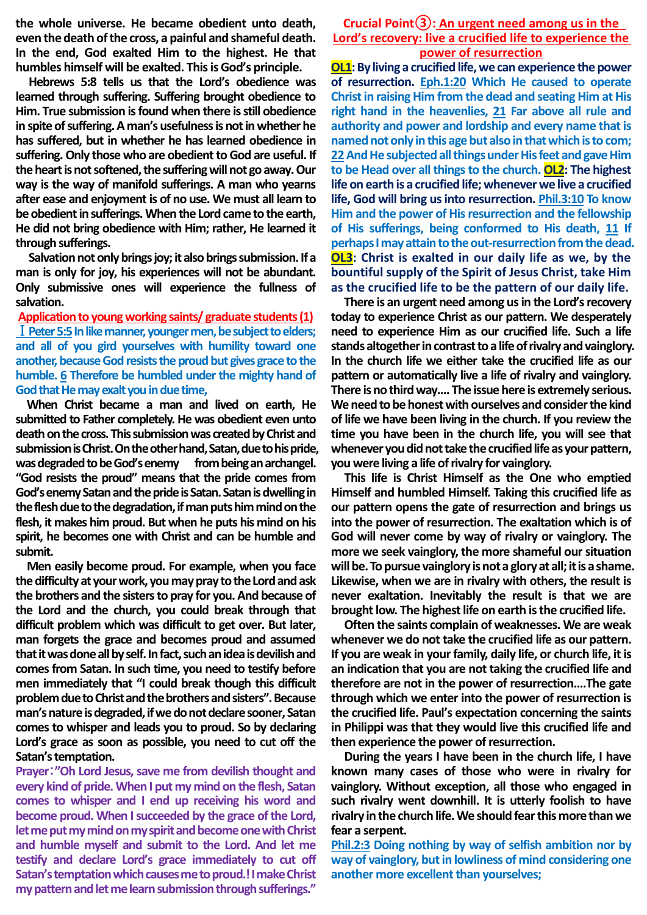**the whole universe. He became obedient unto death, even the death of the cross, a painful and shameful death. In the end, God exalted Him to the highest. He that humbles himself will be exalted. This is God's principle.**

**Hebrews 5:8 tells us that the Lord's obedience was learned through suffering. Suffering brought obedience to Him. True submission is found when there is still obedience in spite of suffering. A man's usefulness is not in whether he has suffered, but in whether he has learned obedience in suffering. Only those who are obedient to God are useful. If the heart is not softened, the suffering will not go away. Our way is the way of manifold sufferings. A man who yearns after ease and enjoyment is of no use. We must all learn to be obedient in sufferings. When the Lord came to the earth, He did not bring obedience with Him; rather, He learned it through sufferings.**

**Salvation not only brings joy; it also brings submission. If a man is only for joy, his experiences will not be abundant. Only submissive ones will experience the fullness of salvation.**

**Application to young working saints/ graduate students(1)** Ⅰ**Peter 5:5In like manner, younger men, be subject to elders; and all of you gird yourselves with humility toward one another, because God resists the proud but gives grace to the humble. 6 Therefore be humbled under the mighty hand of God that He may exalt you in due time,**

**When Christ became a man and lived on earth, He submitted to Father completely. He was obedient even unto death on the cross. This submission was created by Christ and submission is Christ. On the other hand, Satan, due to his pride,**  was degraded to be God's enemy from being an archangel. **"God resists the proud" means that the pride comes from God's enemy Satan and the pride is Satan. Satan is dwelling in the flesh due to the degradation, if man puts him mind on the flesh, it makes him proud. But when he puts his mind on his spirit, he becomes one with Christ and can be humble and submit.** 

**Men easily become proud. For example, when you face the difficulty at your work, you may pray to the Lord and ask the brothers and the sisters to pray for you. And because of the Lord and the church, you could break through that difficult problem which was difficult to get over. But later, man forgets the grace and becomes proud and assumed that it was done all by self. In fact, such an idea is devilish and comes from Satan. In such time, you need to testify before men immediately that "I could break though this difficult problem due to Christ and the brothers and sisters". Because man's nature is degraded, if we do not declare sooner, Satan comes to whisper and leads you to proud. So by declaring Lord's grace as soon as possible, you need to cut off the Satan's temptation.**

**Prayer**:**"Oh Lord Jesus, save me from devilish thought and every kind of pride. When I put my mind on the flesh, Satan comes to whisper and I end up receiving his word and become proud. When I succeeded by the grace of the Lord, let me put my mind on my spirit and become one with Christ and humble myself and submit to the Lord. And let me testify and declare Lord's grace immediately to cut off Satan's temptation which causes me to proud.! I make Christ my pattern and let me learn submission through sufferings."**

## **Crucial Point③: An urgent need among us in the Lord's recovery: live a crucified life to experience the power of resurrection**

**OL1:** By living a crucified life, we can experience the power **of resurrection. Eph.1:20 Which He caused to operate Christ in raising Him from the dead and seating Him at His right hand in the heavenlies, 21 Far above all rule and authority and power and lordship and every name that is named not only in this age but also in that which is to com; 22And He subjected all things under His feet and gave Him to be Head over all things to the church. OL2: The highest life on earth is a crucified life; whenever we live a crucified life, God will bring us into resurrection. Phil.3:10 To know Him and the power of His resurrection and the fellowship of His sufferings, being conformed to His death, 11 If perhapsI may attain to the out-resurrection from the dead. OL3: Christ is exalted in our daily life as we, by the bountiful supply of the Spirit of Jesus Christ, take Him as the crucified life to be the pattern of our daily life.**

**There is an urgent need among us in the Lord's recovery today to experience Christ as our pattern. We desperately need to experience Him as our crucified life. Such a life stands altogether in contrast to a life of rivalry and vainglory. In the church life we either take the crucified life as our pattern or automatically live a life of rivalry and vainglory. There is no third way…. The issue here is extremely serious. We need to be honest with ourselves and consider the kind of life we have been living in the church. If you review the time you have been in the church life, you will see that whenever you did not take the crucified life as your pattern, you were living a life of rivalry for vainglory.**

**This life is Christ Himself as the One who emptied Himself and humbled Himself. Taking this crucified life as our pattern opens the gate of resurrection and brings us into the power of resurrection. The exaltation which is of God will never come by way of rivalry or vainglory. The more we seek vainglory, the more shameful our situation will be. To pursue vainglory is not a glory at all; it is a shame. Likewise, when we are in rivalry with others, the result is never exaltation. Inevitably the result is that we are brought low. The highest life on earth is the crucified life.**

**Often the saints complain of weaknesses. We are weak whenever we do not take the crucified life as our pattern. If you are weak in your family, daily life, or church life, it is an indication that you are not taking the crucified life and therefore are not in the power of resurrection….The gate through which we enter into the power of resurrection is the crucified life. Paul's expectation concerning the saints in Philippi was that they would live this crucified life and then experience the power of resurrection.**

**During the years I have been in the church life, I have known many cases of those who were in rivalry for vainglory. Without exception, all those who engaged in such rivalry went downhill. It is utterly foolish to have rivalry in the church life. We should fear this more than we fear a serpent.**

**Phil.2:3 Doing nothing by way of selfish ambition nor by way of vainglory, but in lowliness of mind considering one another more excellent than yourselves;**